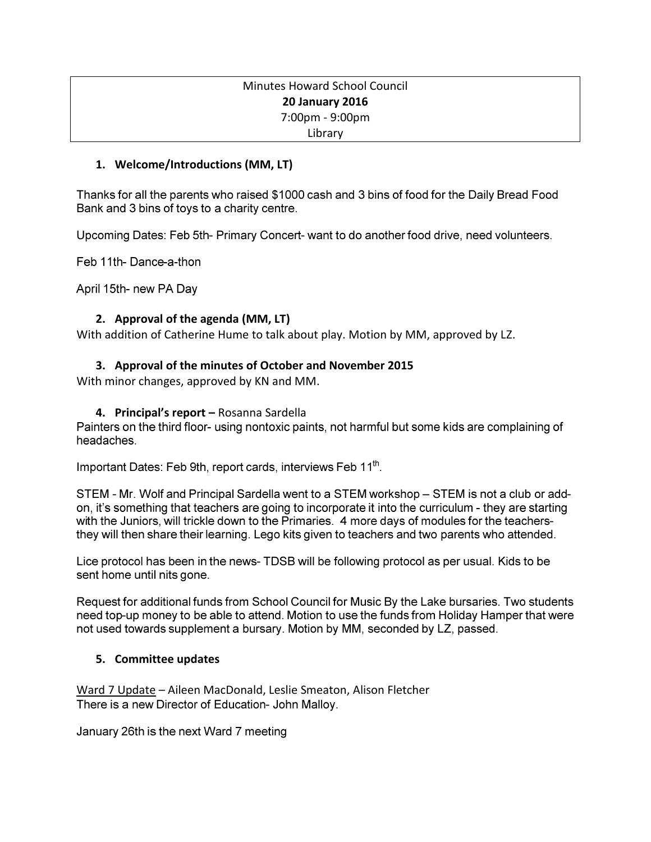# Minutes Howard School Council **20 January 2016** 7:00pm - 9:00pm Library

## **1. Welcome/Introductions (MM, LT)**

Thanks for all the parents who raised \$1000 cash and 3 bins of food for the Daily Bread Food Bank and 3 bins of toys to a charity centre.

Upcoming Dates: Feb 5th- Primary Concert- want to do another food drive, need volunteers.

Feb 11th-Dance-a-thon

April 15th- new PA Day

# **2. Approval of the agenda (MM, LT)**

With addition of Catherine Hume to talk about play. Motion by MM, approved by LZ.

## **3. Approval of the minutes of October and November 2015**

With minor changes, approved by KN and MM.

## **4. Principal's report –** Rosanna Sardella

Painters on the third floor- using nontoxic paints, not harmful but some kids are complaining of headaches.

Important Dates: Feb 9th, report cards, interviews Feb 11th.

STEM - Mr. Wolf and Principal Sardella went to a STEM workshop – STEM is not a club or addon, it's something that teachers are going to incorporate it into the curriculum - they are starting with the Juniors, will trickle down to the Primaries. 4 more days of modules for the teachersthey will then share their learning. Lego kits given to teachers and two parents who attended.

Lice protocol has been in the news- TDSB will be following protocol as per usual. Kids to be sent home until nits gone.

Request for additional funds from School Council for Music By the Lake bursaries. Two students need top-up money to be able to attend. Motion to use the funds from Holiday Hamper that were not used towards supplement a bursary. Motion by MM, seconded by LZ, passed.

### **5. Committee updates**

Ward 7 Update – Aileen MacDonald, Leslie Smeaton, Alison Fletcher There is a new Director of Education- John Malloy.

January 26th is the next Ward 7 meeting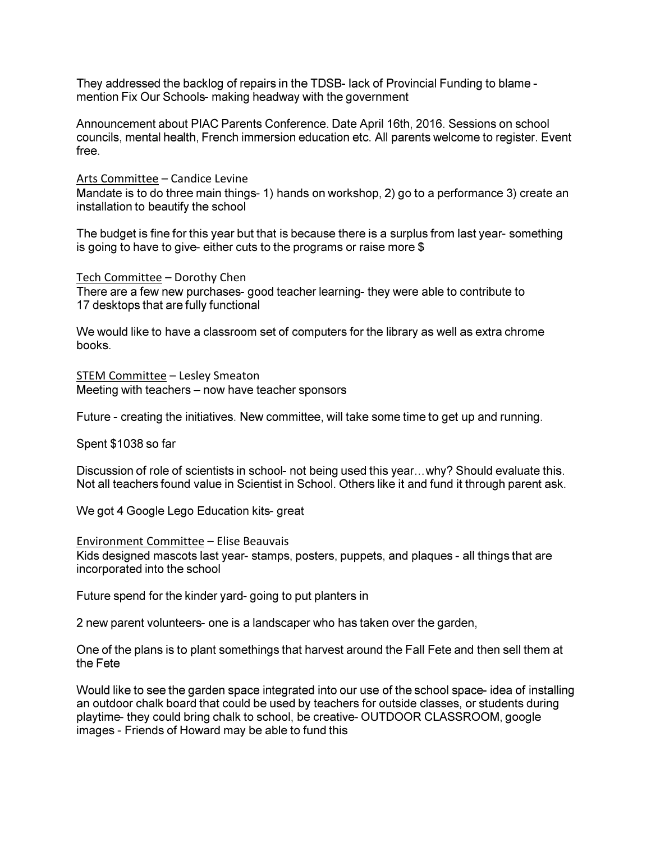They addressed the backlog of repairs in the TDSB- lack of Provincial Funding to blame mention Fix Our Schools- making headway with the government

Announcement about PIAC Parents Conference. Date April 16th, 2016. Sessions on school councils, mental health, French immersion education etc. All parents welcome to register. Event free.

Arts Committee - Candice Levine

Mandate is to do three main things- 1) hands on workshop, 2) go to a performance 3) create an installation to beautify the school

The budget is fine for this year but that is because there is a surplus from last year-something is going to have to give-either cuts to the programs or raise more \$

Tech Committee - Dorothy Chen There are a few new purchases- good teacher learning- they were able to contribute to 17 desktops that are fully functional

We would like to have a classroom set of computers for the library as well as extra chrome books.

STEM Committee - Lesley Smeaton Meeting with teachers - now have teacher sponsors

Future - creating the initiatives. New committee, will take some time to get up and running.

Spent \$1038 so far

Discussion of role of scientists in school- not being used this year...why? Should evaluate this. Not all teachers found value in Scientist in School. Others like it and fund it through parent ask.

We got 4 Google Lego Education kits-great

**Environment Committee - Elise Beauvais** Kids designed mascots last year- stamps, posters, puppets, and plaques - all things that are incorporated into the school

Future spend for the kinder yard- going to put planters in

2 new parent volunteers- one is a landscaper who has taken over the garden,

One of the plans is to plant somethings that harvest around the Fall Fete and then sell them at the Fete

Would like to see the garden space integrated into our use of the school space-idea of installing an outdoor chalk board that could be used by teachers for outside classes, or students during playtime- they could bring chalk to school, be creative- OUTDOOR CLASSROOM, google images - Friends of Howard may be able to fund this